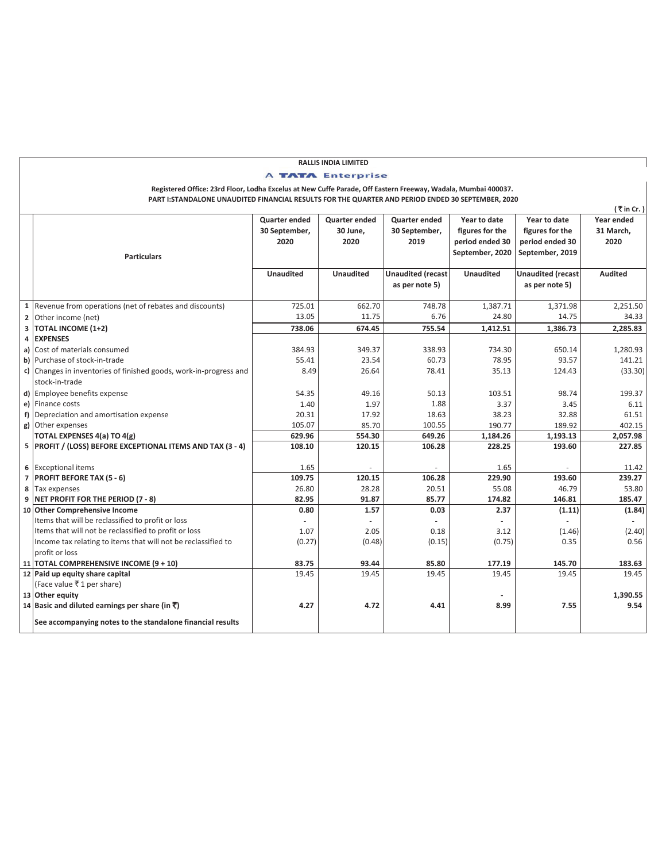## **(** ` **in Cr. ) Quarter ended 30 September, 2020 Quarter ended 30 June, 2020 Quarter ended 30 September, 2019 Year to date figures for the period ended 30 September, 2020 Year to date figures for the period ended 30 September, 2019 Year ended 31 March, 2020 Unaudited Unaudited Unaudited (recast as per note 5) Unaudited Unaudited (recast as per note 5) Audited 1** Revenue from operations (net of rebates and discounts) 725.01 662.70 748.78 1,387.71 1,371.98 2,251.50 2 Other income (net) 13.05 11.75 6.76 24.80 14.75 34.33<br> **2 2 2012 14.75** 1,412.51 1,386.73 2,285.83 **3 TOTAL INCOME (1+2) 4 EXPENSES a)** Cost of materials consumed **384.93** 384.93 349.93 349.37 338.93 338.93 334.30 **650.14** 1,280.93 **b)** Purchase of stock-in-trade 55.41 **55.41** 23.54 **60.73** 78.95 78.95 **54.21** 141.21 **c)** Changes in inventories of finished goods, work-in-progress and stock-in-trade 8.49 26.64 78.41 35.13 124.43 (33.30) **d)** Employee benefits expense **64.35 54.35** 49.16 50.13 103.51 50.13 103.51 98.74 199.37 **e)** Finance costs 1.40 1.97 1.88 3.37 3.45 6.11 **f)** Depreciation and amortisation expense 20.31 17.92 18.63 38.23 38.23 32.88 32.88 61.51 32.88 61.51 32.88 61.51 32.88 61.51 **g)** Other expenses 105.07 85.70 100.55 190.77 189.92 402.15 **TOTAL EXPENSES 4(a) TO 4(g) 629.96 554.30 649.26 1,184.26 1,193.13 2,057.98 5 PROFIT / (LOSS) BEFORE EXCEPTIONAL ITEMS AND TAX (3 - 4) 108.10 120.15 106.28 228.25 193.60 227.85 6** Exceptional items 11.42 - 11.42 - 1.65 - 1.65 - 1.65 - 1.42 **7 PROFIT BEFORE TAX (5 - 6) 109.75 120.15 106.28 229.90 193.60 239.27 8** Tax expenses 26.80 26.80 26.80 28.28 20.51 20.51 20.53.80 20.51 53.80 35.80 20.51 20.51 20.53 20 **9 NET PROFIT FOR THE PERIOD (7 - 8) 82.95 91.87 85.77 174.82 146.81 185.47 10 Other Comprehensive Income 0.80 1.57 0.03 2.37 (1.11) (1.84)** Items that will be reclassified to profit or loss Items that will not be reclassified to profit or loss  $1.07$   $2.05$   $0.18$   $3.12$   $3.12$   $(1.46)$   $(2.40)$ Income tax relating to items that will not be reclassified to profit or loss  $(0.27)$   $(0.48)$   $(0.15)$   $(0.75)$   $0.35$   $0.56$ **11 TOTAL COMPREHENSIVE INCOME (9 + 10) 83.75 93.44 85.80 177.19 145.70 183.63 12 Paid up equity share capital** 19.45 **19.45** 19.45 **19.45** 19.45 19.45 19.45 19.45 19.45 19.45 19.45 19.45 19.45 (Face value  $\bar{\tau}$  1 per share) **13 Other equity 1,390.55 - 14 Basic and diluted earnings per share (in** `**) 4 .27 4.72 4.41 8.99 7.55 9.54 See accompanying notes to the standalone financial results Registered Office: 23rd Floor, Lodha Excelus at New Cuffe Parade, Off Eastern Freeway, Wadala, Mumbai 400037. RALLIS INDIA LIMITED Particulars PART I:STANDALONE UNAUDITED FINANCIAL RESULTS FOR THE QUARTER AND PERIOD ENDED 30 SEPTEMBER, 2020 A TATA Enterprise**

 $\vert$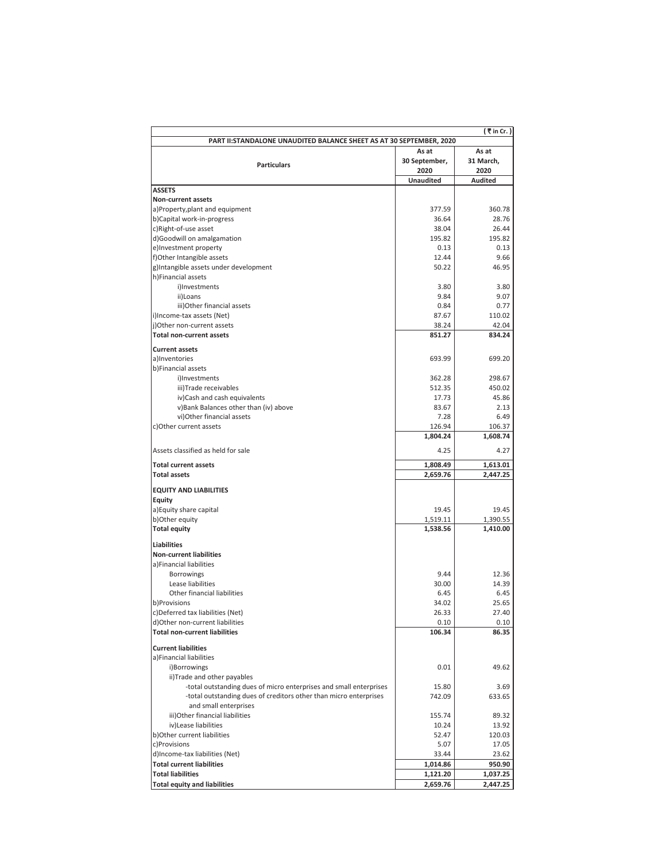|                                                                      |                          | (₹in Cr. )             |  |  |  |
|----------------------------------------------------------------------|--------------------------|------------------------|--|--|--|
| PART II: STANDALONE UNAUDITED BALANCE SHEET AS AT 30 SEPTEMBER, 2020 |                          |                        |  |  |  |
|                                                                      | As at                    | As at                  |  |  |  |
| <b>Particulars</b>                                                   | 30 September,            | 31 March,              |  |  |  |
|                                                                      | 2020<br><b>Unaudited</b> | 2020<br><b>Audited</b> |  |  |  |
| <b>ASSETS</b>                                                        |                          |                        |  |  |  |
| Non-current assets                                                   |                          |                        |  |  |  |
| a)Property, plant and equipment                                      | 377.59                   | 360.78                 |  |  |  |
| b)Capital work-in-progress                                           | 36.64                    | 28.76                  |  |  |  |
| c)Right-of-use asset                                                 | 38.04                    | 26.44                  |  |  |  |
| d)Goodwill on amalgamation                                           | 195.82                   | 195.82                 |  |  |  |
| e)Investment property                                                | 0.13                     | 0.13                   |  |  |  |
| f)Other Intangible assets                                            | 12.44                    | 9.66                   |  |  |  |
| g)Intangible assets under development                                | 50.22                    | 46.95                  |  |  |  |
| h)Financial assets                                                   |                          |                        |  |  |  |
| i)Investments<br>ii)Loans                                            | 3.80<br>9.84             | 3.80<br>9.07           |  |  |  |
| iii) Other financial assets                                          | 0.84                     | 0.77                   |  |  |  |
| i)Income-tax assets (Net)                                            | 87.67                    | 110.02                 |  |  |  |
| j)Other non-current assets                                           | 38.24                    | 42.04                  |  |  |  |
| <b>Total non-current assets</b>                                      | 851.27                   | 834.24                 |  |  |  |
|                                                                      |                          |                        |  |  |  |
| <b>Current assets</b><br>a)Inventories                               | 693.99                   | 699.20                 |  |  |  |
| b)Financial assets                                                   |                          |                        |  |  |  |
| i)Investments                                                        | 362.28                   | 298.67                 |  |  |  |
| iii)Trade receivables                                                | 512.35                   | 450.02                 |  |  |  |
| iv)Cash and cash equivalents                                         | 17.73                    | 45.86                  |  |  |  |
| v)Bank Balances other than (iv) above                                | 83.67                    | 2.13                   |  |  |  |
| vi) Other financial assets                                           | 7.28                     | 6.49                   |  |  |  |
| c) Other current assets                                              | 126.94                   | 106.37                 |  |  |  |
|                                                                      | 1,804.24                 | 1,608.74               |  |  |  |
| Assets classified as held for sale                                   | 4.25                     | 4.27                   |  |  |  |
| <b>Total current assets</b>                                          | 1,808.49                 | 1,613.01               |  |  |  |
| <b>Total assets</b>                                                  | 2,659.76                 | 2,447.25               |  |  |  |
| <b>EQUITY AND LIABILITIES</b>                                        |                          |                        |  |  |  |
| <b>Equity</b>                                                        |                          |                        |  |  |  |
| a) Equity share capital                                              | 19.45                    | 19.45                  |  |  |  |
| b)Other equity                                                       | 1,519.11                 | 1,390.55               |  |  |  |
| <b>Total equity</b>                                                  | 1,538.56                 | 1,410.00               |  |  |  |
| <b>Liabilities</b>                                                   |                          |                        |  |  |  |
| <b>Non-current liabilities</b>                                       |                          |                        |  |  |  |
| a)Financial liabilities                                              |                          |                        |  |  |  |
| <b>Borrowings</b>                                                    | 9.44                     | 12.36                  |  |  |  |
| Lease liabilities                                                    | 30.00                    | 14.39                  |  |  |  |
| Other financial liabilities                                          | 6.45                     | 6.45                   |  |  |  |
| b)Provisions                                                         | 34.02                    | 25.65                  |  |  |  |
| c)Deferred tax liabilities (Net)                                     | 26.33                    | 27.40                  |  |  |  |
| d)Other non-current liabilities                                      | 0.10                     | 0.10                   |  |  |  |
| <b>Total non-current liabilities</b>                                 | 106.34                   | 86.35                  |  |  |  |
| <b>Current liabilities</b>                                           |                          |                        |  |  |  |
| a)Financial liabilities                                              |                          |                        |  |  |  |
| i)Borrowings                                                         | 0.01                     | 49.62                  |  |  |  |
| ii)Trade and other payables                                          |                          |                        |  |  |  |
| -total outstanding dues of micro enterprises and small enterprises   | 15.80                    | 3.69                   |  |  |  |
| -total outstanding dues of creditors other than micro enterprises    | 742.09                   | 633.65                 |  |  |  |
| and small enterprises                                                | 155.74                   | 89.32                  |  |  |  |
| iii) Other financial liabilities<br>iv)Lease liabilities             | 10.24                    | 13.92                  |  |  |  |
| b) Other current liabilities                                         | 52.47                    | 120.03                 |  |  |  |
| c)Provisions                                                         | 5.07                     | 17.05                  |  |  |  |
| d)Income-tax liabilities (Net)                                       | 33.44                    | 23.62                  |  |  |  |
| <b>Total current liabilities</b>                                     | 1,014.86                 | 950.90                 |  |  |  |
| <b>Total liabilities</b>                                             | 1,121.20                 | 1,037.25               |  |  |  |
| <b>Total equity and liabilities</b>                                  | 2,659.76                 | 2,447.25               |  |  |  |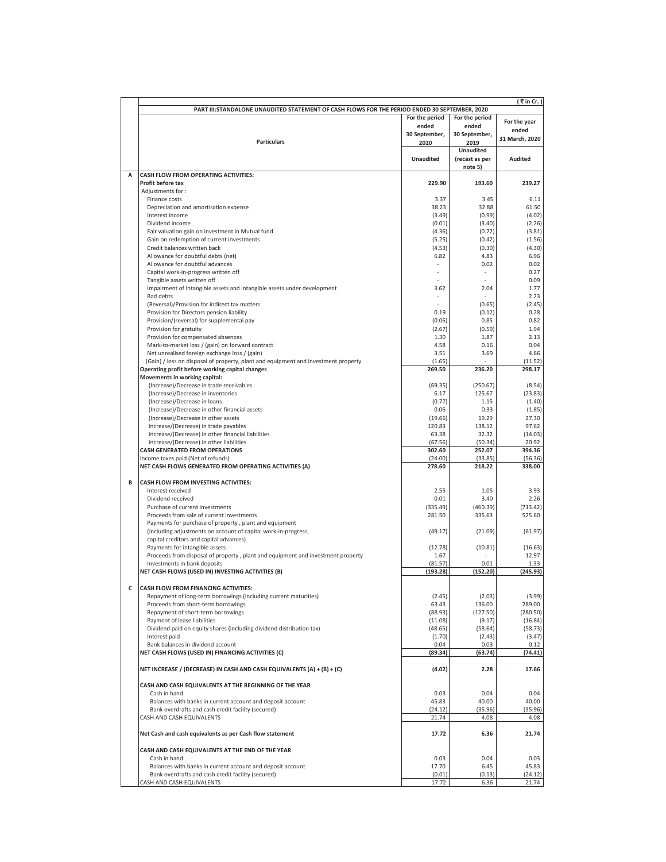|   |                                                                                               |                     |                  | (₹in Cr. )       |
|---|-----------------------------------------------------------------------------------------------|---------------------|------------------|------------------|
|   | PART III:STANDALONE UNAUDITED STATEMENT OF CASH FLOWS FOR THE PERIOD ENDED 30 SEPTEMBER, 2020 |                     |                  |                  |
|   |                                                                                               | For the period      | For the period   | For the year     |
|   |                                                                                               | ended               | ended            | ended            |
|   |                                                                                               | 30 September,       | 30 September,    | 31 March, 2020   |
|   | <b>Particulars</b>                                                                            | 2020                | 2019             |                  |
|   |                                                                                               |                     | <b>Unaudited</b> |                  |
|   |                                                                                               | <b>Unaudited</b>    | (recast as per   | Audited          |
| А | CASH FLOW FROM OPERATING ACTIVITIES:                                                          |                     | note 5)          |                  |
|   | Profit before tax                                                                             | 229.90              | 193.60           | 239.27           |
|   | Adjustments for:                                                                              |                     |                  |                  |
|   | Finance costs                                                                                 | 3.37                | 3.45             | 6.11             |
|   | Depreciation and amortisation expense                                                         | 38.23               | 32.88            | 61.50            |
|   | Interest income                                                                               | (3.49)              | (0.99)           | (4.02)           |
|   | Dividend income                                                                               | (0.01)              | (3.40)           | (2.26)           |
|   | Fair valuation gain on investment in Mutual fund                                              | (4.36)              | (0.72)           | (3.81)           |
|   | Gain on redemption of current investments                                                     | (5.25)              | (0.42)           | (1.56)           |
|   | Credit balances written back                                                                  | (4.53)              | (0.30)           | (4.30)           |
|   | Allowance for doubtful debts (net)                                                            | 6.82                | 4.83             | 6.96             |
|   | Allowance for doubtful advances                                                               |                     | 0.02<br>×        | 0.02<br>0.27     |
|   | Capital work-in-progress written off<br>Tangible assets written off                           |                     |                  | 0.09             |
|   | Impairment of Intangible assets and intangible assets under development                       | 3.62                | 2.04             | 1.77             |
|   | <b>Bad debts</b>                                                                              |                     |                  | 2.23             |
|   | (Reversal)/Provision for indirect tax matters                                                 |                     | (0.65)           | (2.45)           |
|   | Provision for Directors pension liability                                                     | 0.19                | (0.12)           | 0.28             |
|   | Provision/(reversal) for supplemental pay                                                     | (0.06)              | 0.85             | 0.82             |
|   | Provision for gratuity                                                                        | (2.67)              | (0.59)           | 1.94             |
|   | Provision for compensated absences                                                            | 1.30                | 1.87             | 2.13             |
|   | Mark-to-market loss / (gain) on forward contract                                              | 4.58                | 0.16             | 0.04             |
|   | Net unrealised foreign exchange loss / (gain)                                                 | 3.51                | 3.69             | 4.66             |
|   | (Gain) / loss on disposal of property, plant and equipment and investment property            | (1.65)              |                  | (11.52)          |
|   | Operating profit before working capital changes                                               | 269.50              | 236.20           | 298.17           |
|   | Movements in working capital:                                                                 | (69.35)             | (250.67)         | (8.54)           |
|   | (Increase)/Decrease in trade receivables<br>(Increase)/Decrease in inventories                | 6.17                | 125.67           | (23.83)          |
|   | (Increase)/Decrease in loans                                                                  | (0.77)              | 1.15             | (1.40)           |
|   | (Increase)/Decrease in other financial assets                                                 | 0.06                | 0.33             | (1.85)           |
|   | (Increase)/Decrease in other assets                                                           | (19.66)             | 19.29            | 27.30            |
|   | Increase/(Decrease) in trade payables                                                         | 120.83              | 138.12           | 97.62            |
|   | Increase/(Decrease) in other financial liabilities                                            | 63.38               | 32.32            | (14.03)          |
|   | Increase/(Decrease) in other liabilities                                                      | (67.56)             | (50.34)          | 20.92            |
|   | <b>CASH GENERATED FROM OPERATIONS</b>                                                         | 302.60              | 252.07           | 394.36           |
|   | Income taxes paid (Net of refunds)                                                            | (24.00)             | (33.85)          | (56.36)          |
|   | NET CASH FLOWS GENERATED FROM OPERATING ACTIVITIES (A)                                        | 278.60              | 218.22           | 338.00           |
| в | CASH FLOW FROM INVESTING ACTIVITIES:                                                          |                     |                  |                  |
|   | Interest received                                                                             | 2.55                | 1.05             | 3.93             |
|   | Dividend received                                                                             | 0.01                | 3.40             | 2.26             |
|   | Purchase of current investments                                                               | (335.49)            | (460.39)         | (713.42)         |
|   | Proceeds from sale of current investments                                                     | 281.50              | 335.63           | 525.60           |
|   | Payments for purchase of property, plant and equipment                                        |                     |                  |                  |
|   | (including adjustments on account of capital work-in-progress,                                | (49.17)             | (21.09)          | (61.97)          |
|   | capital creditors and capital advances)                                                       |                     |                  |                  |
|   | Payments for intangible assets                                                                | (12.78)             | (10.81)          | (16.63)          |
|   | Proceeds from disposal of property, plant and equipment and investment property               | 1.67                |                  | 12.97            |
|   | Investments in bank deposits                                                                  | (81.57)<br>(193.28) | 0.01<br>(152.20) | 1.33<br>(245.93) |
|   | NET CASH FLOWS (USED IN) INVESTING ACTIVITIES (B)                                             |                     |                  |                  |
| С | CASH FLOW FROM FINANCING ACTIVITIES:                                                          |                     |                  |                  |
|   | Repayment of long-term borrowings (including current maturities)                              | (2.45)              | (2.03)           | (3.99)           |
|   | Proceeds from short-term borrowings                                                           | 63.43               | 136.00           | 289.00           |
|   | Repayment of short-term borrowings                                                            | (88.93)             | (127.50)         | (280.50)         |
|   | Payment of lease liabilities                                                                  | (11.08)             | (9.17)           | (16.84)          |
|   | Dividend paid on equity shares (including dividend distribution tax)                          | (48.65)             | (58.64)          | (58.73)          |
|   | Interest paid                                                                                 | (1.70)              | (2.43)           | (3.47)           |
|   | Bank balances in dividend account                                                             | 0.04                | 0.03             | 0.12             |
|   | NET CASH FLOWS (USED IN) FINANCING ACTIVITIES (C)                                             | (89.34)             | (63.74)          | (74.41)          |
|   | NET INCREASE / (DECREASE) IN CASH AND CASH EQUIVALENTS (A) + (B) + (C)                        | (4.02)              | 2.28             | 17.66            |
|   |                                                                                               |                     |                  |                  |
|   | CASH AND CASH EQUIVALENTS AT THE BEGINNING OF THE YEAR                                        |                     |                  |                  |
|   | Cash in hand<br>Balances with banks in current account and deposit account                    | 0.03<br>45.83       | 0.04<br>40.00    | 0.04<br>40.00    |
|   | Bank overdrafts and cash credit facility (secured)                                            | (24.12)             | (35.96)          | (35.96)          |
|   | CASH AND CASH EQUIVALENTS                                                                     | 21.74               | 4.08             | 4.08             |
|   |                                                                                               |                     |                  |                  |
|   | Net Cash and cash equivalents as per Cash flow statement                                      | 17.72               | 6.36             | 21.74            |
|   | CASH AND CASH EQUIVALENTS AT THE END OF THE YEAR                                              |                     |                  |                  |
|   | Cash in hand                                                                                  | 0.03                | 0.04             | 0.03             |
|   | Balances with banks in current account and deposit account                                    | 17.70               | 6.45             | 45.83            |
|   | Bank overdrafts and cash credit facility (secured)                                            | (0.01)              | (0.13)           | (24.12)          |
|   | CASH AND CASH EQUIVALENTS                                                                     | 17.72               | 6.36             | 21.74            |